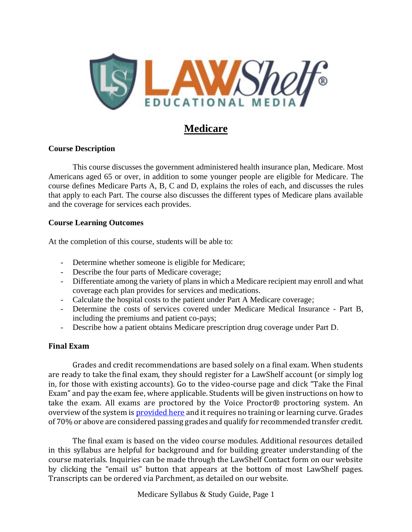

# **Medicare**

### **Course Description**

This course discusses the government administered health insurance plan, Medicare. Most Americans aged 65 or over, in addition to some younger people are eligible for Medicare. The course defines Medicare Parts A, B, C and D, explains the roles of each, and discusses the rules that apply to each Part. The course also discusses the different types of Medicare plans available and the coverage for services each provides.

#### **Course Learning Outcomes**

At the completion of this course, students will be able to:

- Determine whether someone is eligible for Medicare;
- Describe the four parts of Medicare coverage;
- Differentiate among the variety of plans in which a Medicare recipient may enroll and what coverage each plan provides for services and medications.
- Calculate the hospital costs to the patient under Part A Medicare coverage;
- Determine the costs of services covered under Medicare Medical Insurance Part B, including the premiums and patient co-pays;
- Describe how a patient obtains Medicare prescription drug coverage under Part D.

### **Final Exam**

Grades and credit recommendations are based solely on a final exam. When students are ready to take the final exam, they should register for a LawShelf account (or simply log in, for those with existing accounts). Go to the video-course page and click "Take the Final Exam" and pay the exam fee, where applicable. Students will be given instructions on how to take the exam. All exams are proctored by the Voice Proctor® proctoring system. An overview of the system is [provided here](https://lawshelf.com/voiceproctorvideo) and it requires no training or learning curve. Grades of 70% or above are considered passing grades and qualify for recommended transfer credit.

The final exam is based on the video course modules. Additional resources detailed in this syllabus are helpful for background and for building greater understanding of the course materials. Inquiries can be made through the LawShelf Contact form on our website by clicking the "email us" button that appears at the bottom of most LawShelf pages. Transcripts can be ordered via Parchment, as detailed on our website.

Medicare Syllabus & Study Guide, Page 1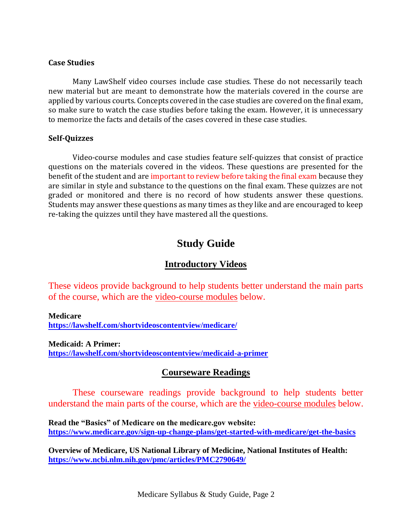### **Case Studies**

Many LawShelf video courses include case studies. These do not necessarily teach new material but are meant to demonstrate how the materials covered in the course are applied by various courts. Concepts covered in the case studies are covered on the final exam, so make sure to watch the case studies before taking the exam. However, it is unnecessary to memorize the facts and details of the cases covered in these case studies.

### **Self-Quizzes**

Video-course modules and case studies feature self-quizzes that consist of practice questions on the materials covered in the videos. These questions are presented for the benefit of the student and are important to review before taking the final exam because they are similar in style and substance to the questions on the final exam. These quizzes are not graded or monitored and there is no record of how students answer these questions. Students may answer these questions as many times as they like and are encouraged to keep re-taking the quizzes until they have mastered all the questions.

# **Study Guide**

### **Introductory Videos**

These videos provide background to help students better understand the main parts of the course, which are the video-course modules below.

**Medicare**

**<https://lawshelf.com/shortvideoscontentview/medicare/>**

**Medicaid: A Primer: <https://lawshelf.com/shortvideoscontentview/medicaid-a-primer>**

### **Courseware Readings**

These courseware readings provide background to help students better understand the main parts of the course, which are the video-course modules below.

**Read the "Basics" of Medicare on the medicare.gov website: <https://www.medicare.gov/sign-up-change-plans/get-started-with-medicare/get-the-basics>**

**Overview of Medicare, US National Library of Medicine, National Institutes of Health: <https://www.ncbi.nlm.nih.gov/pmc/articles/PMC2790649/>**